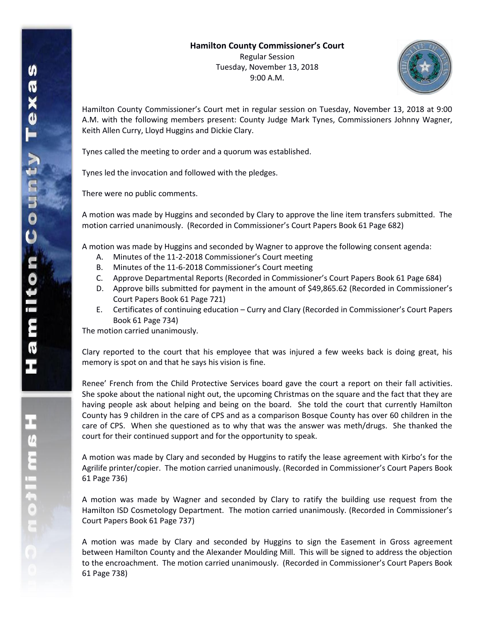

Hamilton County Commissioner's Court met in regular session on Tuesday, November 13, 2018 at 9:00 A.M. with the following members present: County Judge Mark Tynes, Commissioners Johnny Wagner, Keith Allen Curry, Lloyd Huggins and Dickie Clary.

Tynes called the meeting to order and a quorum was established.

Tynes led the invocation and followed with the pledges.

There were no public comments.

A motion was made by Huggins and seconded by Clary to approve the line item transfers submitted. The motion carried unanimously. (Recorded in Commissioner's Court Papers Book 61 Page 682)

A motion was made by Huggins and seconded by Wagner to approve the following consent agenda:

- A. Minutes of the 11-2-2018 Commissioner's Court meeting
- B. Minutes of the 11-6-2018 Commissioner's Court meeting
- C. Approve Departmental Reports (Recorded in Commissioner's Court Papers Book 61 Page 684)
- D. Approve bills submitted for payment in the amount of \$49,865.62 (Recorded in Commissioner's Court Papers Book 61 Page 721)
- E. Certificates of continuing education Curry and Clary (Recorded in Commissioner's Court Papers Book 61 Page 734)

The motion carried unanimously.

Clary reported to the court that his employee that was injured a few weeks back is doing great, his memory is spot on and that he says his vision is fine.

Renee' French from the Child Protective Services board gave the court a report on their fall activities. She spoke about the national night out, the upcoming Christmas on the square and the fact that they are having people ask about helping and being on the board. She told the court that currently Hamilton County has 9 children in the care of CPS and as a comparison Bosque County has over 60 children in the care of CPS. When she questioned as to why that was the answer was meth/drugs. She thanked the court for their continued support and for the opportunity to speak.

A motion was made by Clary and seconded by Huggins to ratify the lease agreement with Kirbo's for the Agrilife printer/copier. The motion carried unanimously. (Recorded in Commissioner's Court Papers Book 61 Page 736)

A motion was made by Wagner and seconded by Clary to ratify the building use request from the Hamilton ISD Cosmetology Department. The motion carried unanimously. (Recorded in Commissioner's Court Papers Book 61 Page 737)

A motion was made by Clary and seconded by Huggins to sign the Easement in Gross agreement between Hamilton County and the Alexander Moulding Mill. This will be signed to address the objection to the encroachment. The motion carried unanimously. (Recorded in Commissioner's Court Papers Book 61 Page 738)